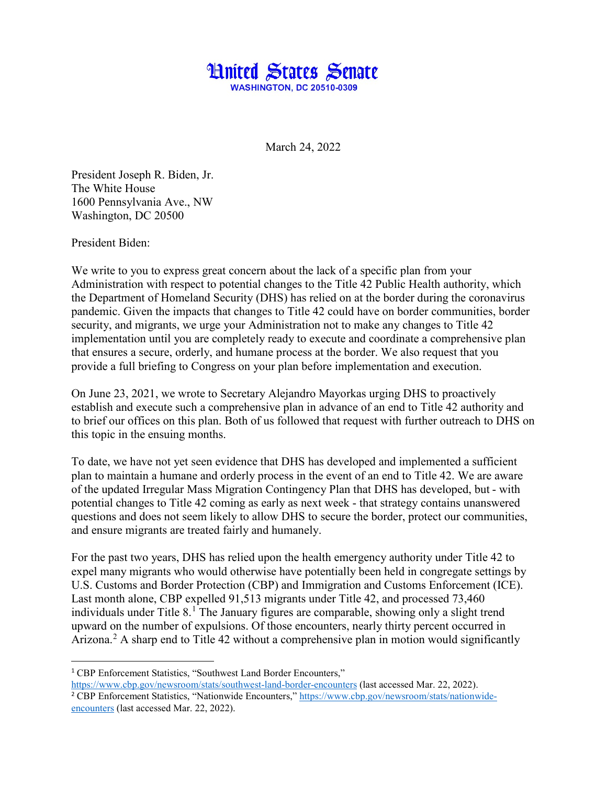

March 24, 2022

President Joseph R. Biden, Jr. The White House 1600 Pennsylvania Ave., NW Washington, DC 20500

President Biden:

We write to you to express great concern about the lack of a specific plan from your Administration with respect to potential changes to the Title 42 Public Health authority, which the Department of Homeland Security (DHS) has relied on at the border during the coronavirus pandemic. Given the impacts that changes to Title 42 could have on border communities, border security, and migrants, we urge your Administration not to make any changes to Title 42 implementation until you are completely ready to execute and coordinate a comprehensive plan that ensures a secure, orderly, and humane process at the border. We also request that you provide a full briefing to Congress on your plan before implementation and execution.

On June 23, 2021, we wrote to Secretary Alejandro Mayorkas urging DHS to proactively establish and execute such a comprehensive plan in advance of an end to Title 42 authority and to brief our offices on this plan. Both of us followed that request with further outreach to DHS on this topic in the ensuing months.

To date, we have not yet seen evidence that DHS has developed and implemented a sufficient plan to maintain a humane and orderly process in the event of an end to Title 42. We are aware of the updated Irregular Mass Migration Contingency Plan that DHS has developed, but - with potential changes to Title 42 coming as early as next week - that strategy contains unanswered questions and does not seem likely to allow DHS to secure the border, protect our communities, and ensure migrants are treated fairly and humanely.

For the past two years, DHS has relied upon the health emergency authority under Title 42 to expel many migrants who would otherwise have potentially been held in congregate settings by U.S. Customs and Border Protection (CBP) and Immigration and Customs Enforcement (ICE). Last month alone, CBP expelled 91,513 migrants under Title 42, and processed 73,460 individuals under Title  $8<sup>1</sup>$  $8<sup>1</sup>$  $8<sup>1</sup>$ . The January figures are comparable, showing only a slight trend upward on the number of expulsions. Of those encounters, nearly thirty percent occurred in Arizona.<sup>[2](#page-0-1)</sup> A sharp end to Title 42 without a comprehensive plan in motion would significantly

<span id="page-0-0"></span><sup>&</sup>lt;sup>1</sup> CBP Enforcement Statistics, "Southwest Land Border Encounters,"

<span id="page-0-1"></span><https://www.cbp.gov/newsroom/stats/southwest-land-border-encounters> (last accessed Mar. 22, 2022). <sup>2</sup> CBP Enforcement Statistics, "Nationwide Encounters," [https://www.cbp.gov/newsroom/stats/nationwide](https://www.cbp.gov/newsroom/stats/nationwide-encounters)[encounters](https://www.cbp.gov/newsroom/stats/nationwide-encounters) (last accessed Mar. 22, 2022).